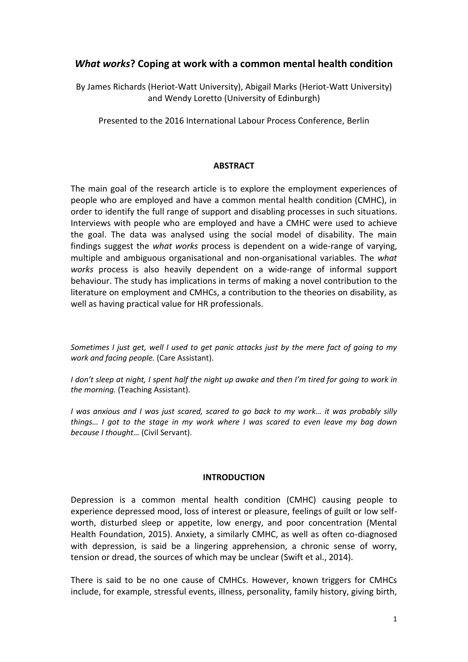# *What works***? Coping at work with a common mental health condition**

By James Richards (Heriot-Watt University), Abigail Marks (Heriot-Watt University) and Wendy Loretto (University of Edinburgh)

Presented to the 2016 International Labour Process Conference, Berlin

### **ABSTRACT**

The main goal of the research article is to explore the employment experiences of people who are employed and have a common mental health condition (CMHC), in order to identify the full range of support and disabling processes in such situations. Interviews with people who are employed and have a CMHC were used to achieve the goal. The data was analysed using the social model of disability. The main findings suggest the *what works* process is dependent on a wide-range of varying, multiple and ambiguous organisational and non-organisational variables. The *what works* process is also heavily dependent on a wide-range of informal support behaviour. The study has implications in terms of making a novel contribution to the literature on employment and CMHCs, a contribution to the theories on disability, as well as having practical value for HR professionals.

*Sometimes I just get, well I used to get panic attacks just by the mere fact of going to my work and facing people.* (Care Assistant).

*I don't sleep at night, I spent half the night up awake and then I'm tired for going to work in the morning.* (Teaching Assistant).

*I was anxious and I was just scared, scared to go back to my work… it was probably silly things… I got to the stage in my work where I was scared to even leave my bag down because I thought…* (Civil Servant).

### **INTRODUCTION**

Depression is a common mental health condition (CMHC) causing people to experience depressed mood, loss of interest or pleasure, feelings of guilt or low selfworth, disturbed sleep or appetite, low energy, and poor concentration (Mental Health Foundation, 2015). Anxiety, a similarly CMHC, as well as often co-diagnosed with depression, is said be a lingering apprehension, a chronic sense of worry, tension or dread, the sources of which may be unclear (Swift et al., 2014).

There is said to be no one cause of CMHCs. However, known triggers for CMHCs include, for example, stressful events, illness, personality, family history, giving birth,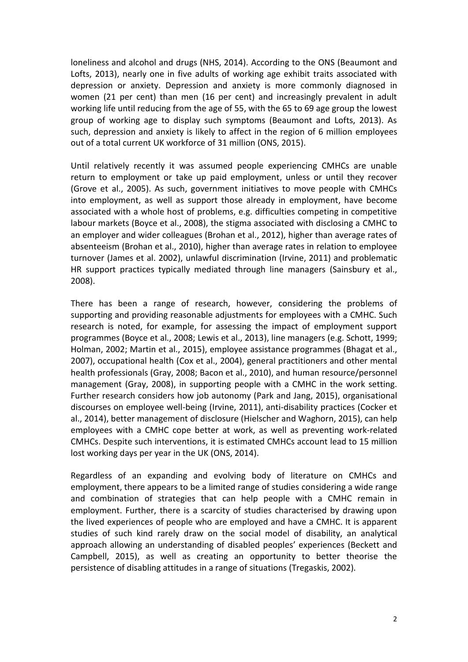loneliness and alcohol and drugs (NHS, 2014). According to the ONS (Beaumont and Lofts, 2013), nearly one in five adults of working age exhibit traits associated with depression or anxiety. Depression and anxiety is more commonly diagnosed in women (21 per cent) than men (16 per cent) and increasingly prevalent in adult working life until reducing from the age of 55, with the 65 to 69 age group the lowest group of working age to display such symptoms (Beaumont and Lofts, 2013). As such, depression and anxiety is likely to affect in the region of 6 million employees out of a total current UK workforce of 31 million (ONS, 2015).

Until relatively recently it was assumed people experiencing CMHCs are unable return to employment or take up paid employment, unless or until they recover (Grove et al., 2005). As such, government initiatives to move people with CMHCs into employment, as well as support those already in employment, have become associated with a whole host of problems, e.g. difficulties competing in competitive labour markets (Boyce et al., 2008), the stigma associated with disclosing a CMHC to an employer and wider colleagues (Brohan et al., 2012), higher than average rates of absenteeism (Brohan et al., 2010), higher than average rates in relation to employee turnover (James et al. 2002), unlawful discrimination (Irvine, 2011) and problematic HR support practices typically mediated through line managers (Sainsbury et al., 2008).

There has been a range of research, however, considering the problems of supporting and providing reasonable adjustments for employees with a CMHC. Such research is noted, for example, for assessing the impact of employment support programmes (Boyce et al., 2008; Lewis et al., 2013), line managers (e.g. Schott, 1999; Holman, 2002; Martin et al., 2015), employee assistance programmes (Bhagat et al., 2007), occupational health (Cox et al., 2004), general practitioners and other mental health professionals (Gray, 2008; Bacon et al., 2010), and human resource/personnel management (Gray, 2008), in supporting people with a CMHC in the work setting. Further research considers how job autonomy (Park and Jang, 2015), organisational discourses on employee well-being (Irvine, 2011), anti-disability practices (Cocker et al., 2014), better management of disclosure (Hielscher and Waghorn, 2015), can help employees with a CMHC cope better at work, as well as preventing work-related CMHCs. Despite such interventions, it is estimated CMHCs account lead to 15 million lost working days per year in the UK (ONS, 2014).

Regardless of an expanding and evolving body of literature on CMHCs and employment, there appears to be a limited range of studies considering a wide range and combination of strategies that can help people with a CMHC remain in employment. Further, there is a scarcity of studies characterised by drawing upon the lived experiences of people who are employed and have a CMHC. It is apparent studies of such kind rarely draw on the social model of disability, an analytical approach allowing an understanding of disabled peoples' experiences (Beckett and Campbell, 2015), as well as creating an opportunity to better theorise the persistence of disabling attitudes in a range of situations (Tregaskis, 2002).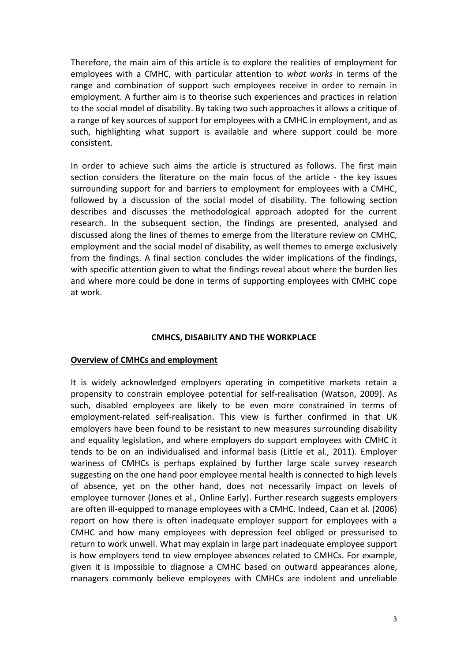Therefore, the main aim of this article is to explore the realities of employment for employees with a CMHC, with particular attention to *what works* in terms of the range and combination of support such employees receive in order to remain in employment. A further aim is to theorise such experiences and practices in relation to the social model of disability. By taking two such approaches it allows a critique of a range of key sources of support for employees with a CMHC in employment, and as such, highlighting what support is available and where support could be more consistent.

In order to achieve such aims the article is structured as follows. The first main section considers the literature on the main focus of the article - the key issues surrounding support for and barriers to employment for employees with a CMHC, followed by a discussion of the social model of disability. The following section describes and discusses the methodological approach adopted for the current research. In the subsequent section, the findings are presented, analysed and discussed along the lines of themes to emerge from the literature review on CMHC, employment and the social model of disability, as well themes to emerge exclusively from the findings. A final section concludes the wider implications of the findings, with specific attention given to what the findings reveal about where the burden lies and where more could be done in terms of supporting employees with CMHC cope at work.

### **CMHCS, DISABILITY AND THE WORKPLACE**

#### **Overview of CMHCs and employment**

It is widely acknowledged employers operating in competitive markets retain a propensity to constrain employee potential for self-realisation (Watson, 2009). As such, disabled employees are likely to be even more constrained in terms of employment-related self-realisation. This view is further confirmed in that UK employers have been found to be resistant to new measures surrounding disability and equality legislation, and where employers do support employees with CMHC it tends to be on an individualised and informal basis (Little et al., 2011). Employer wariness of CMHCs is perhaps explained by further large scale survey research suggesting on the one hand poor employee mental health is connected to high levels of absence, yet on the other hand, does not necessarily impact on levels of employee turnover (Jones et al., Online Early). Further research suggests employers are often ill-equipped to manage employees with a CMHC. Indeed, Caan et al. (2006) report on how there is often inadequate employer support for employees with a CMHC and how many employees with depression feel obliged or pressurised to return to work unwell. What may explain in large part inadequate employee support is how employers tend to view employee absences related to CMHCs. For example, given it is impossible to diagnose a CMHC based on outward appearances alone, managers commonly believe employees with CMHCs are indolent and unreliable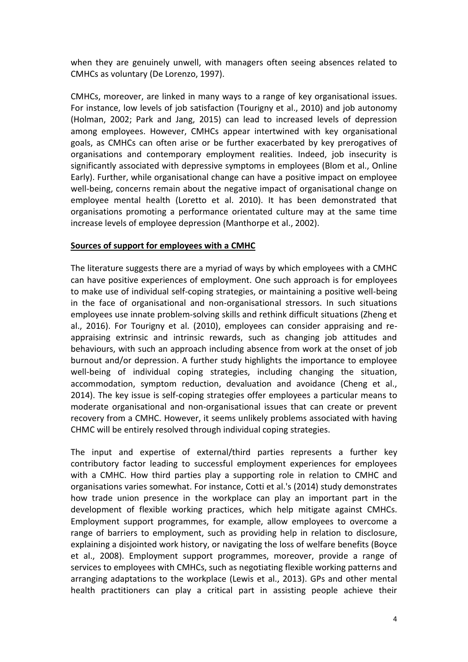when they are genuinely unwell, with managers often seeing absences related to CMHCs as voluntary (De Lorenzo, 1997).

CMHCs, moreover, are linked in many ways to a range of key organisational issues. For instance, low levels of job satisfaction (Tourigny et al., 2010) and job autonomy (Holman, 2002; Park and Jang, 2015) can lead to increased levels of depression among employees. However, CMHCs appear intertwined with key organisational goals, as CMHCs can often arise or be further exacerbated by key prerogatives of organisations and contemporary employment realities. Indeed, job insecurity is significantly associated with depressive symptoms in employees (Blom et al., Online Early). Further, while organisational change can have a positive impact on employee well-being, concerns remain about the negative impact of organisational change on employee mental health (Loretto et al. 2010). It has been demonstrated that organisations promoting a performance orientated culture may at the same time increase levels of employee depression (Manthorpe et al., 2002).

### **Sources of support for employees with a CMHC**

The literature suggests there are a myriad of ways by which employees with a CMHC can have positive experiences of employment. One such approach is for employees to make use of individual self-coping strategies, or maintaining a positive well-being in the face of organisational and non-organisational stressors. In such situations employees use innate problem-solving skills and rethink difficult situations (Zheng et al., 2016). For Tourigny et al. (2010), employees can consider appraising and reappraising extrinsic and intrinsic rewards, such as changing job attitudes and behaviours, with such an approach including absence from work at the onset of job burnout and/or depression. A further study highlights the importance to employee well-being of individual coping strategies, including changing the situation, accommodation, symptom reduction, devaluation and avoidance (Cheng et al., 2014). The key issue is self-coping strategies offer employees a particular means to moderate organisational and non-organisational issues that can create or prevent recovery from a CMHC. However, it seems unlikely problems associated with having CHMC will be entirely resolved through individual coping strategies.

The input and expertise of external/third parties represents a further key contributory factor leading to successful employment experiences for employees with a CMHC. How third parties play a supporting role in relation to CMHC and organisations varies somewhat. For instance, Cotti et al.'s (2014) study demonstrates how trade union presence in the workplace can play an important part in the development of flexible working practices, which help mitigate against CMHCs. Employment support programmes, for example, allow employees to overcome a range of barriers to employment, such as providing help in relation to disclosure, explaining a disjointed work history, or navigating the loss of welfare benefits (Boyce et al., 2008). Employment support programmes, moreover, provide a range of services to employees with CMHCs, such as negotiating flexible working patterns and arranging adaptations to the workplace (Lewis et al., 2013). GPs and other mental health practitioners can play a critical part in assisting people achieve their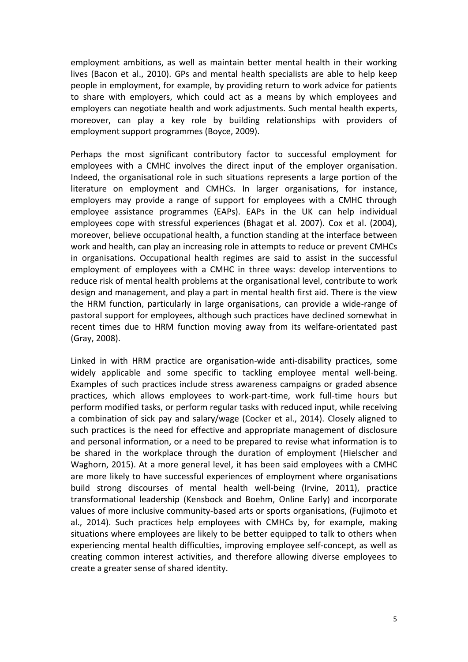employment ambitions, as well as maintain better mental health in their working lives (Bacon et al., 2010). GPs and mental health specialists are able to help keep people in employment, for example, by providing return to work advice for patients to share with employers, which could act as a means by which employees and employers can negotiate health and work adjustments. Such mental health experts, moreover, can play a key role by building relationships with providers of employment support programmes (Boyce, 2009).

Perhaps the most significant contributory factor to successful employment for employees with a CMHC involves the direct input of the employer organisation. Indeed, the organisational role in such situations represents a large portion of the literature on employment and CMHCs. In larger organisations, for instance, employers may provide a range of support for employees with a CMHC through employee assistance programmes (EAPs). EAPs in the UK can help individual employees cope with stressful experiences (Bhagat et al. 2007). Cox et al. (2004), moreover, believe occupational health, a function standing at the interface between work and health, can play an increasing role in attempts to reduce or prevent CMHCs in organisations. Occupational health regimes are said to assist in the successful employment of employees with a CMHC in three ways: develop interventions to reduce risk of mental health problems at the organisational level, contribute to work design and management, and play a part in mental health first aid. There is the view the HRM function, particularly in large organisations, can provide a wide-range of pastoral support for employees, although such practices have declined somewhat in recent times due to HRM function moving away from its welfare-orientated past (Gray, 2008).

Linked in with HRM practice are organisation-wide anti-disability practices, some widely applicable and some specific to tackling employee mental well-being. Examples of such practices include stress awareness campaigns or graded absence practices, which allows employees to work-part-time, work full-time hours but perform modified tasks, or perform regular tasks with reduced input, while receiving a combination of sick pay and salary/wage (Cocker et al., 2014). Closely aligned to such practices is the need for effective and appropriate management of disclosure and personal information, or a need to be prepared to revise what information is to be shared in the workplace through the duration of employment (Hielscher and Waghorn, 2015). At a more general level, it has been said employees with a CMHC are more likely to have successful experiences of employment where organisations build strong discourses of mental health well-being (Irvine, 2011), practice transformational leadership (Kensbock and Boehm, Online Early) and incorporate values of more inclusive community-based arts or sports organisations, (Fujimoto et al., 2014). Such practices help employees with CMHCs by, for example, making situations where employees are likely to be better equipped to talk to others when experiencing mental health difficulties, improving employee self-concept, as well as creating common interest activities, and therefore allowing diverse employees to create a greater sense of shared identity.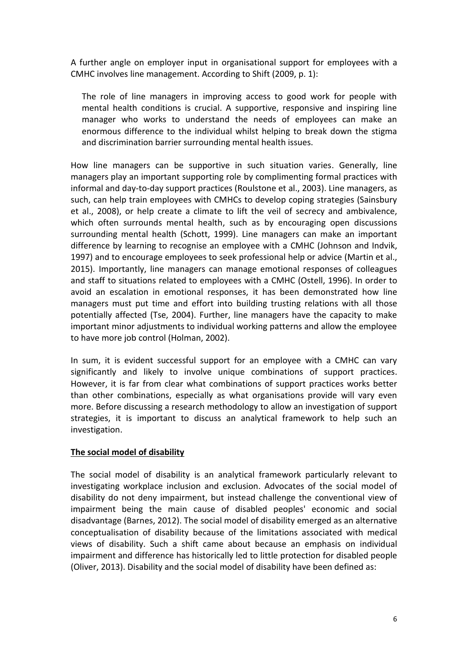A further angle on employer input in organisational support for employees with a CMHC involves line management. According to Shift (2009, p. 1):

The role of line managers in improving access to good work for people with mental health conditions is crucial. A supportive, responsive and inspiring line manager who works to understand the needs of employees can make an enormous difference to the individual whilst helping to break down the stigma and discrimination barrier surrounding mental health issues.

How line managers can be supportive in such situation varies. Generally, line managers play an important supporting role by complimenting formal practices with informal and day-to-day support practices (Roulstone et al., 2003). Line managers, as such, can help train employees with CMHCs to develop coping strategies (Sainsbury et al., 2008), or help create a climate to lift the veil of secrecy and ambivalence, which often surrounds mental health, such as by encouraging open discussions surrounding mental health (Schott, 1999). Line managers can make an important difference by learning to recognise an employee with a CMHC (Johnson and Indvik, 1997) and to encourage employees to seek professional help or advice (Martin et al., 2015). Importantly, line managers can manage emotional responses of colleagues and staff to situations related to employees with a CMHC (Ostell, 1996). In order to avoid an escalation in emotional responses, it has been demonstrated how line managers must put time and effort into building trusting relations with all those potentially affected (Tse, 2004). Further, line managers have the capacity to make important minor adjustments to individual working patterns and allow the employee to have more job control (Holman, 2002).

In sum, it is evident successful support for an employee with a CMHC can vary significantly and likely to involve unique combinations of support practices. However, it is far from clear what combinations of support practices works better than other combinations, especially as what organisations provide will vary even more. Before discussing a research methodology to allow an investigation of support strategies, it is important to discuss an analytical framework to help such an investigation.

## **The social model of disability**

The social model of disability is an analytical framework particularly relevant to investigating workplace inclusion and exclusion. Advocates of the social model of disability do not deny impairment, but instead challenge the conventional view of impairment being the main cause of disabled peoples' economic and social disadvantage (Barnes, 2012). The social model of disability emerged as an alternative conceptualisation of disability because of the limitations associated with medical views of disability. Such a shift came about because an emphasis on individual impairment and difference has historically led to little protection for disabled people (Oliver, 2013). Disability and the social model of disability have been defined as: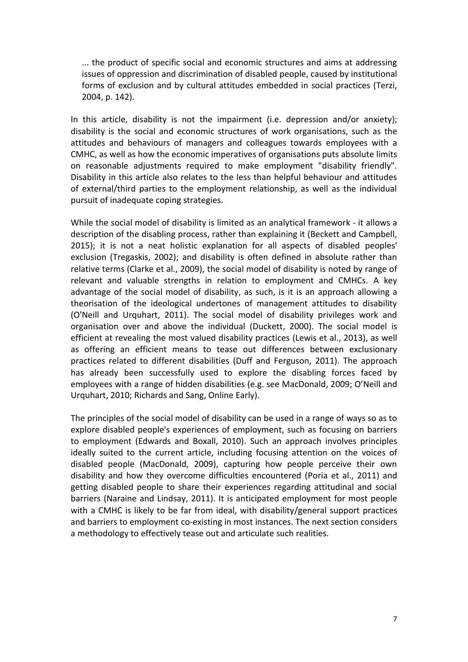... the product of specific social and economic structures and aims at addressing issues of oppression and discrimination of disabled people, caused by institutional forms of exclusion and by cultural attitudes embedded in social practices (Terzi, 2004, p. 142).

In this article, disability is not the impairment (i.e. depression and/or anxiety); disability is the social and economic structures of work organisations, such as the attitudes and behaviours of managers and colleagues towards employees with a CMHC, as well as how the economic imperatives of organisations puts absolute limits on reasonable adjustments required to make employment "disability friendly". Disability in this article also relates to the less than helpful behaviour and attitudes of external/third parties to the employment relationship, as well as the individual pursuit of inadequate coping strategies.

While the social model of disability is limited as an analytical framework - it allows a description of the disabling process, rather than explaining it (Beckett and Campbell, 2015); it is not a neat holistic explanation for all aspects of disabled peoples' exclusion (Tregaskis, 2002); and disability is often defined in absolute rather than relative terms (Clarke et al., 2009), the social model of disability is noted by range of relevant and valuable strengths in relation to employment and CMHCs. A key advantage of the social model of disability, as such, is it is an approach allowing a theorisation of the ideological undertones of management attitudes to disability (O'Neill and Urquhart, 2011). The social model of disability privileges work and organisation over and above the individual (Duckett, 2000). The social model is efficient at revealing the most valued disability practices (Lewis et al., 2013), as well as offering an efficient means to tease out differences between exclusionary practices related to different disabilities (Duff and Ferguson, 2011). The approach has already been successfully used to explore the disabling forces faced by employees with a range of hidden disabilities (e.g. see MacDonald, 2009; O'Neill and Urquhart, 2010; Richards and Sang, Online Early).

The principles of the social model of disability can be used in a range of ways so as to explore disabled people's experiences of employment, such as focusing on barriers to employment (Edwards and Boxall, 2010). Such an approach involves principles ideally suited to the current article, including focusing attention on the voices of disabled people (MacDonald, 2009), capturing how people perceive their own disability and how they overcome difficulties encountered (Poria et al., 2011) and getting disabled people to share their experiences regarding attitudinal and social barriers (Naraine and Lindsay, 2011). It is anticipated employment for most people with a CMHC is likely to be far from ideal, with disability/general support practices and barriers to employment co-existing in most instances. The next section considers a methodology to effectively tease out and articulate such realities.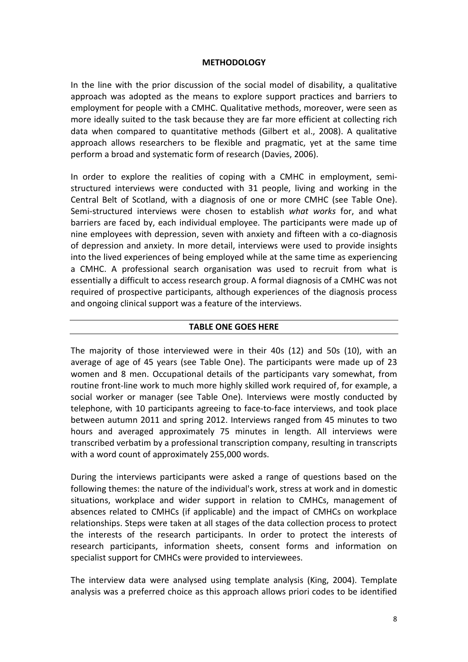### **METHODOLOGY**

In the line with the prior discussion of the social model of disability, a qualitative approach was adopted as the means to explore support practices and barriers to employment for people with a CMHC. Qualitative methods, moreover, were seen as more ideally suited to the task because they are far more efficient at collecting rich data when compared to quantitative methods (Gilbert et al., 2008). A qualitative approach allows researchers to be flexible and pragmatic, yet at the same time perform a broad and systematic form of research (Davies, 2006).

In order to explore the realities of coping with a CMHC in employment, semistructured interviews were conducted with 31 people, living and working in the Central Belt of Scotland, with a diagnosis of one or more CMHC (see Table One). Semi-structured interviews were chosen to establish *what works* for, and what barriers are faced by, each individual employee. The participants were made up of nine employees with depression, seven with anxiety and fifteen with a co-diagnosis of depression and anxiety. In more detail, interviews were used to provide insights into the lived experiences of being employed while at the same time as experiencing a CMHC. A professional search organisation was used to recruit from what is essentially a difficult to access research group. A formal diagnosis of a CMHC was not required of prospective participants, although experiences of the diagnosis process and ongoing clinical support was a feature of the interviews.

#### **TABLE ONE GOES HERE**

The majority of those interviewed were in their 40s (12) and 50s (10), with an average of age of 45 years (see Table One). The participants were made up of 23 women and 8 men. Occupational details of the participants vary somewhat, from routine front-line work to much more highly skilled work required of, for example, a social worker or manager (see Table One). Interviews were mostly conducted by telephone, with 10 participants agreeing to face-to-face interviews, and took place between autumn 2011 and spring 2012. Interviews ranged from 45 minutes to two hours and averaged approximately 75 minutes in length. All interviews were transcribed verbatim by a professional transcription company, resulting in transcripts with a word count of approximately 255,000 words.

During the interviews participants were asked a range of questions based on the following themes: the nature of the individual's work, stress at work and in domestic situations, workplace and wider support in relation to CMHCs, management of absences related to CMHCs (if applicable) and the impact of CMHCs on workplace relationships. Steps were taken at all stages of the data collection process to protect the interests of the research participants. In order to protect the interests of research participants, information sheets, consent forms and information on specialist support for CMHCs were provided to interviewees.

The interview data were analysed using template analysis (King, 2004). Template analysis was a preferred choice as this approach allows priori codes to be identified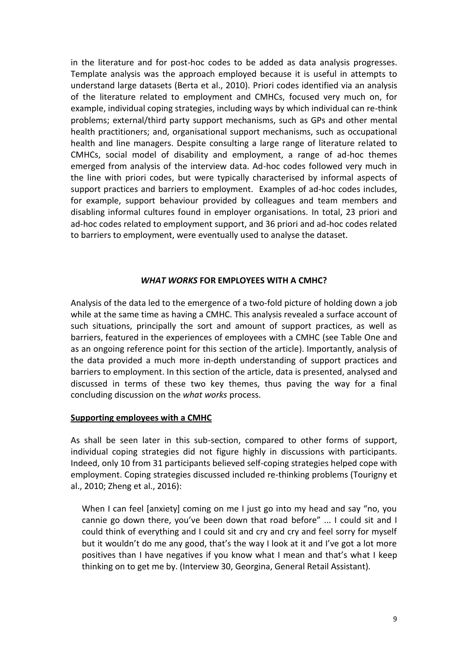in the literature and for post-hoc codes to be added as data analysis progresses. Template analysis was the approach employed because it is useful in attempts to understand large datasets (Berta et al., 2010). Priori codes identified via an analysis of the literature related to employment and CMHCs, focused very much on, for example, individual coping strategies, including ways by which individual can re-think problems; external/third party support mechanisms, such as GPs and other mental health practitioners; and, organisational support mechanisms, such as occupational health and line managers. Despite consulting a large range of literature related to CMHCs, social model of disability and employment, a range of ad-hoc themes emerged from analysis of the interview data. Ad-hoc codes followed very much in the line with priori codes, but were typically characterised by informal aspects of support practices and barriers to employment. Examples of ad-hoc codes includes, for example, support behaviour provided by colleagues and team members and disabling informal cultures found in employer organisations. In total, 23 priori and ad-hoc codes related to employment support, and 36 priori and ad-hoc codes related to barriers to employment, were eventually used to analyse the dataset.

### *WHAT WORKS* **FOR EMPLOYEES WITH A CMHC?**

Analysis of the data led to the emergence of a two-fold picture of holding down a job while at the same time as having a CMHC. This analysis revealed a surface account of such situations, principally the sort and amount of support practices, as well as barriers, featured in the experiences of employees with a CMHC (see Table One and as an ongoing reference point for this section of the article). Importantly, analysis of the data provided a much more in-depth understanding of support practices and barriers to employment. In this section of the article, data is presented, analysed and discussed in terms of these two key themes, thus paving the way for a final concluding discussion on the *what works* process.

### **Supporting employees with a CMHC**

As shall be seen later in this sub-section, compared to other forms of support, individual coping strategies did not figure highly in discussions with participants. Indeed, only 10 from 31 participants believed self-coping strategies helped cope with employment. Coping strategies discussed included re-thinking problems (Tourigny et al., 2010; Zheng et al., 2016):

When I can feel [anxiety] coming on me I just go into my head and say "no, you cannie go down there, you've been down that road before" ... I could sit and I could think of everything and I could sit and cry and cry and feel sorry for myself but it wouldn't do me any good, that's the way I look at it and I've got a lot more positives than I have negatives if you know what I mean and that's what I keep thinking on to get me by. (Interview 30, Georgina, General Retail Assistant).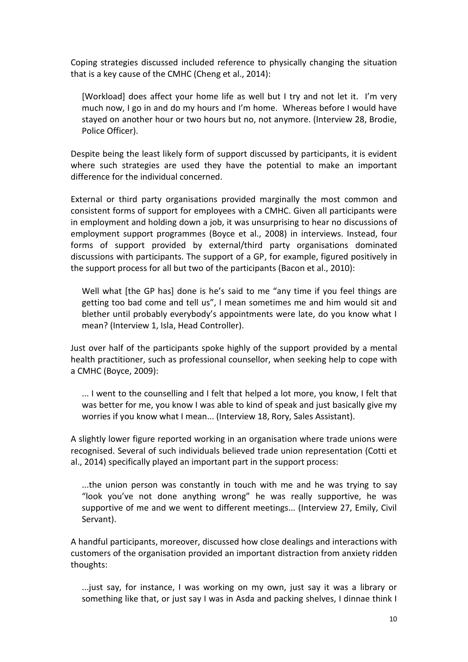Coping strategies discussed included reference to physically changing the situation that is a key cause of the CMHC (Cheng et al., 2014):

[Workload] does affect your home life as well but I try and not let it. I'm very much now, I go in and do my hours and I'm home. Whereas before I would have stayed on another hour or two hours but no, not anymore. (Interview 28, Brodie, Police Officer).

Despite being the least likely form of support discussed by participants, it is evident where such strategies are used they have the potential to make an important difference for the individual concerned.

External or third party organisations provided marginally the most common and consistent forms of support for employees with a CMHC. Given all participants were in employment and holding down a job, it was unsurprising to hear no discussions of employment support programmes (Boyce et al., 2008) in interviews. Instead, four forms of support provided by external/third party organisations dominated discussions with participants. The support of a GP, for example, figured positively in the support process for all but two of the participants (Bacon et al., 2010):

Well what [the GP has] done is he's said to me "any time if you feel things are getting too bad come and tell us", I mean sometimes me and him would sit and blether until probably everybody's appointments were late, do you know what I mean? (Interview 1, Isla, Head Controller).

Just over half of the participants spoke highly of the support provided by a mental health practitioner, such as professional counsellor, when seeking help to cope with a CMHC (Boyce, 2009):

... I went to the counselling and I felt that helped a lot more, you know, I felt that was better for me, you know I was able to kind of speak and just basically give my worries if you know what I mean... (Interview 18, Rory, Sales Assistant).

A slightly lower figure reported working in an organisation where trade unions were recognised. Several of such individuals believed trade union representation (Cotti et al., 2014) specifically played an important part in the support process:

...the union person was constantly in touch with me and he was trying to say "look you've not done anything wrong" he was really supportive, he was supportive of me and we went to different meetings... (Interview 27, Emily, Civil Servant).

A handful participants, moreover, discussed how close dealings and interactions with customers of the organisation provided an important distraction from anxiety ridden thoughts:

...just say, for instance, I was working on my own, just say it was a library or something like that, or just say I was in Asda and packing shelves, I dinnae think I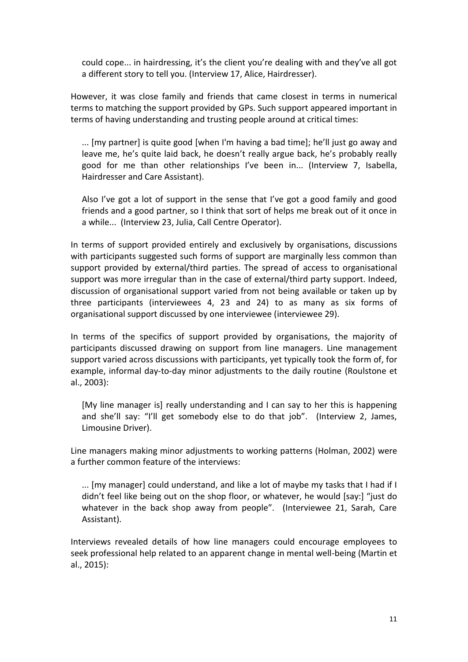could cope... in hairdressing, it's the client you're dealing with and they've all got a different story to tell you. (Interview 17, Alice, Hairdresser).

However, it was close family and friends that came closest in terms in numerical terms to matching the support provided by GPs. Such support appeared important in terms of having understanding and trusting people around at critical times:

... [my partner] is quite good [when I'm having a bad time]; he'll just go away and leave me, he's quite laid back, he doesn't really argue back, he's probably really good for me than other relationships I've been in... (Interview 7, Isabella, Hairdresser and Care Assistant).

Also I've got a lot of support in the sense that I've got a good family and good friends and a good partner, so I think that sort of helps me break out of it once in a while... (Interview 23, Julia, Call Centre Operator).

In terms of support provided entirely and exclusively by organisations, discussions with participants suggested such forms of support are marginally less common than support provided by external/third parties. The spread of access to organisational support was more irregular than in the case of external/third party support. Indeed, discussion of organisational support varied from not being available or taken up by three participants (interviewees 4, 23 and 24) to as many as six forms of organisational support discussed by one interviewee (interviewee 29).

In terms of the specifics of support provided by organisations, the majority of participants discussed drawing on support from line managers. Line management support varied across discussions with participants, yet typically took the form of, for example, informal day-to-day minor adjustments to the daily routine (Roulstone et al., 2003):

[My line manager is] really understanding and I can say to her this is happening and she'll say: "I'll get somebody else to do that job". (Interview 2, James, Limousine Driver).

Line managers making minor adjustments to working patterns (Holman, 2002) were a further common feature of the interviews:

... [my manager] could understand, and like a lot of maybe my tasks that I had if I didn't feel like being out on the shop floor, or whatever, he would [say:] "just do whatever in the back shop away from people". (Interviewee 21, Sarah, Care Assistant).

Interviews revealed details of how line managers could encourage employees to seek professional help related to an apparent change in mental well-being (Martin et al., 2015):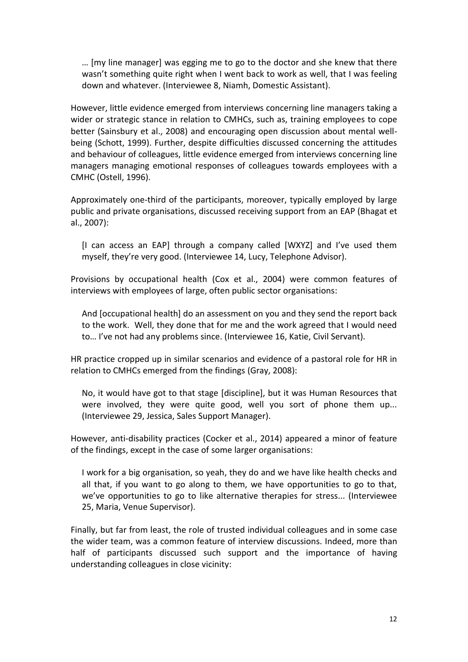… [my line manager] was egging me to go to the doctor and she knew that there wasn't something quite right when I went back to work as well, that I was feeling down and whatever. (Interviewee 8, Niamh, Domestic Assistant).

However, little evidence emerged from interviews concerning line managers taking a wider or strategic stance in relation to CMHCs, such as, training employees to cope better (Sainsbury et al., 2008) and encouraging open discussion about mental wellbeing (Schott, 1999). Further, despite difficulties discussed concerning the attitudes and behaviour of colleagues, little evidence emerged from interviews concerning line managers managing emotional responses of colleagues towards employees with a CMHC (Ostell, 1996).

Approximately one-third of the participants, moreover, typically employed by large public and private organisations, discussed receiving support from an EAP (Bhagat et al., 2007):

[I can access an EAP] through a company called [WXYZ] and I've used them myself, they're very good. (Interviewee 14, Lucy, Telephone Advisor).

Provisions by occupational health (Cox et al., 2004) were common features of interviews with employees of large, often public sector organisations:

And [occupational health] do an assessment on you and they send the report back to the work. Well, they done that for me and the work agreed that I would need to… I've not had any problems since. (Interviewee 16, Katie, Civil Servant).

HR practice cropped up in similar scenarios and evidence of a pastoral role for HR in relation to CMHCs emerged from the findings (Gray, 2008):

No, it would have got to that stage [discipline], but it was Human Resources that were involved, they were quite good, well you sort of phone them up... (Interviewee 29, Jessica, Sales Support Manager).

However, anti-disability practices (Cocker et al., 2014) appeared a minor of feature of the findings, except in the case of some larger organisations:

I work for a big organisation, so yeah, they do and we have like health checks and all that, if you want to go along to them, we have opportunities to go to that, we've opportunities to go to like alternative therapies for stress... (Interviewee 25, Maria, Venue Supervisor).

Finally, but far from least, the role of trusted individual colleagues and in some case the wider team, was a common feature of interview discussions. Indeed, more than half of participants discussed such support and the importance of having understanding colleagues in close vicinity: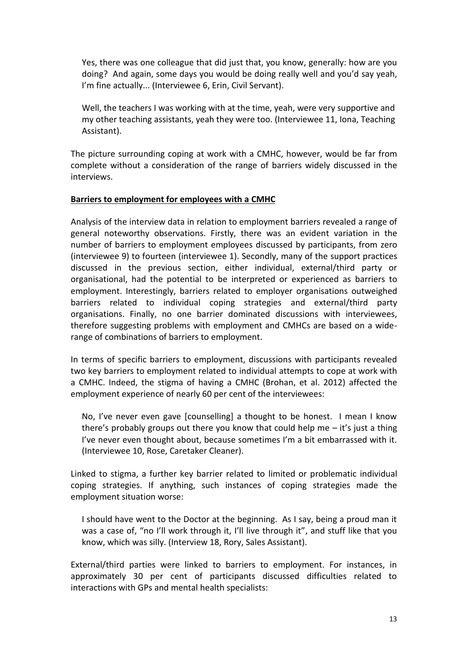Yes, there was one colleague that did just that, you know, generally: how are you doing? And again, some days you would be doing really well and you'd say yeah, I'm fine actually... (Interviewee 6, Erin, Civil Servant).

Well, the teachers I was working with at the time, yeah, were very supportive and my other teaching assistants, yeah they were too. (Interviewee 11, Iona, Teaching Assistant).

The picture surrounding coping at work with a CMHC, however, would be far from complete without a consideration of the range of barriers widely discussed in the interviews.

### **Barriers to employment for employees with a CMHC**

Analysis of the interview data in relation to employment barriers revealed a range of general noteworthy observations. Firstly, there was an evident variation in the number of barriers to employment employees discussed by participants, from zero (interviewee 9) to fourteen (interviewee 1). Secondly, many of the support practices discussed in the previous section, either individual, external/third party or organisational, had the potential to be interpreted or experienced as barriers to employment. Interestingly, barriers related to employer organisations outweighed barriers related to individual coping strategies and external/third party organisations. Finally, no one barrier dominated discussions with interviewees, therefore suggesting problems with employment and CMHCs are based on a widerange of combinations of barriers to employment.

In terms of specific barriers to employment, discussions with participants revealed two key barriers to employment related to individual attempts to cope at work with a CMHC. Indeed, the stigma of having a CMHC (Brohan, et al. 2012) affected the employment experience of nearly 60 per cent of the interviewees:

No, I've never even gave [counselling] a thought to be honest. I mean I know there's probably groups out there you know that could help me  $-$  it's just a thing I've never even thought about, because sometimes I'm a bit embarrassed with it. (Interviewee 10, Rose, Caretaker Cleaner).

Linked to stigma, a further key barrier related to limited or problematic individual coping strategies. If anything, such instances of coping strategies made the employment situation worse:

I should have went to the Doctor at the beginning. As I say, being a proud man it was a case of, "no I'll work through it, I'll live through it", and stuff like that you know, which was silly. (Interview 18, Rory, Sales Assistant).

External/third parties were linked to barriers to employment. For instances, in approximately 30 per cent of participants discussed difficulties related to interactions with GPs and mental health specialists: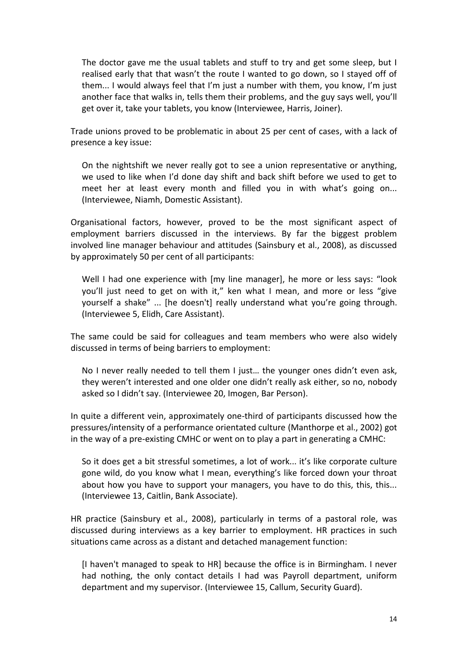The doctor gave me the usual tablets and stuff to try and get some sleep, but I realised early that that wasn't the route I wanted to go down, so I stayed off of them... I would always feel that I'm just a number with them, you know, I'm just another face that walks in, tells them their problems, and the guy says well, you'll get over it, take your tablets, you know (Interviewee, Harris, Joiner).

Trade unions proved to be problematic in about 25 per cent of cases, with a lack of presence a key issue:

On the nightshift we never really got to see a union representative or anything, we used to like when I'd done day shift and back shift before we used to get to meet her at least every month and filled you in with what's going on... (Interviewee, Niamh, Domestic Assistant).

Organisational factors, however, proved to be the most significant aspect of employment barriers discussed in the interviews. By far the biggest problem involved line manager behaviour and attitudes (Sainsbury et al., 2008), as discussed by approximately 50 per cent of all participants:

Well I had one experience with [my line manager], he more or less says: "look you'll just need to get on with it," ken what I mean, and more or less "give yourself a shake" ... [he doesn't] really understand what you're going through. (Interviewee 5, Elidh, Care Assistant).

The same could be said for colleagues and team members who were also widely discussed in terms of being barriers to employment:

No I never really needed to tell them I just… the younger ones didn't even ask, they weren't interested and one older one didn't really ask either, so no, nobody asked so I didn't say. (Interviewee 20, Imogen, Bar Person).

In quite a different vein, approximately one-third of participants discussed how the pressures/intensity of a performance orientated culture (Manthorpe et al., 2002) got in the way of a pre-existing CMHC or went on to play a part in generating a CMHC:

So it does get a bit stressful sometimes, a lot of work... it's like corporate culture gone wild, do you know what I mean, everything's like forced down your throat about how you have to support your managers, you have to do this, this, this... (Interviewee 13, Caitlin, Bank Associate).

HR practice (Sainsbury et al., 2008), particularly in terms of a pastoral role, was discussed during interviews as a key barrier to employment. HR practices in such situations came across as a distant and detached management function:

[I haven't managed to speak to HR] because the office is in Birmingham. I never had nothing, the only contact details I had was Payroll department, uniform department and my supervisor. (Interviewee 15, Callum, Security Guard).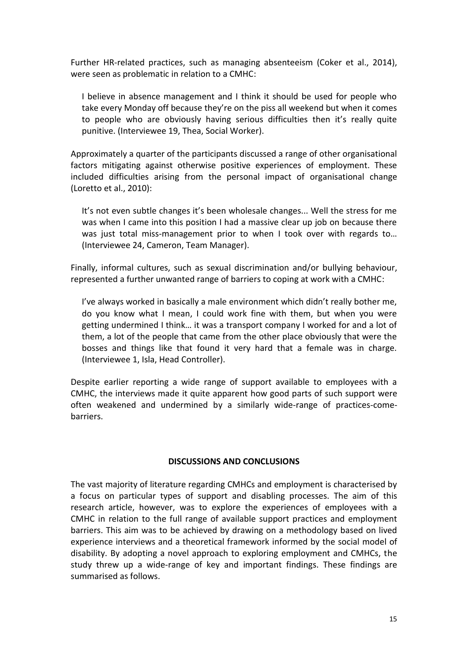Further HR-related practices, such as managing absenteeism (Coker et al., 2014), were seen as problematic in relation to a CMHC:

I believe in absence management and I think it should be used for people who take every Monday off because they're on the piss all weekend but when it comes to people who are obviously having serious difficulties then it's really quite punitive. (Interviewee 19, Thea, Social Worker).

Approximately a quarter of the participants discussed a range of other organisational factors mitigating against otherwise positive experiences of employment. These included difficulties arising from the personal impact of organisational change (Loretto et al., 2010):

It's not even subtle changes it's been wholesale changes... Well the stress for me was when I came into this position I had a massive clear up job on because there was just total miss-management prior to when I took over with regards to… (Interviewee 24, Cameron, Team Manager).

Finally, informal cultures, such as sexual discrimination and/or bullying behaviour, represented a further unwanted range of barriers to coping at work with a CMHC:

I've always worked in basically a male environment which didn't really bother me, do you know what I mean, I could work fine with them, but when you were getting undermined I think… it was a transport company I worked for and a lot of them, a lot of the people that came from the other place obviously that were the bosses and things like that found it very hard that a female was in charge. (Interviewee 1, Isla, Head Controller).

Despite earlier reporting a wide range of support available to employees with a CMHC, the interviews made it quite apparent how good parts of such support were often weakened and undermined by a similarly wide-range of practices-comebarriers.

### **DISCUSSIONS AND CONCLUSIONS**

The vast majority of literature regarding CMHCs and employment is characterised by a focus on particular types of support and disabling processes. The aim of this research article, however, was to explore the experiences of employees with a CMHC in relation to the full range of available support practices and employment barriers. This aim was to be achieved by drawing on a methodology based on lived experience interviews and a theoretical framework informed by the social model of disability. By adopting a novel approach to exploring employment and CMHCs, the study threw up a wide-range of key and important findings. These findings are summarised as follows.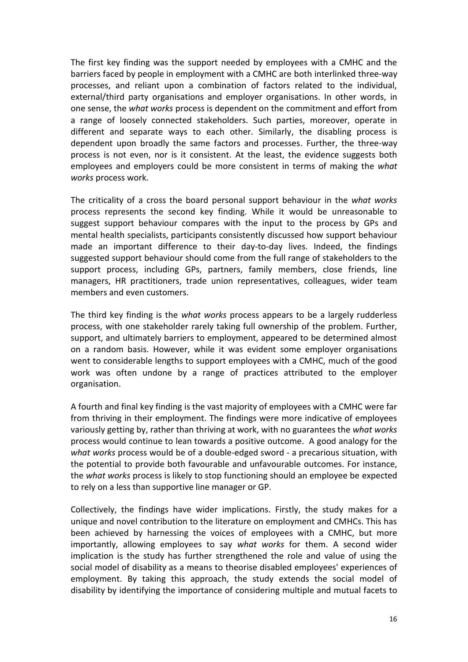The first key finding was the support needed by employees with a CMHC and the barriers faced by people in employment with a CMHC are both interlinked three-way processes, and reliant upon a combination of factors related to the individual, external/third party organisations and employer organisations. In other words, in one sense, the *what works* process is dependent on the commitment and effort from a range of loosely connected stakeholders. Such parties, moreover, operate in different and separate ways to each other. Similarly, the disabling process is dependent upon broadly the same factors and processes. Further, the three-way process is not even, nor is it consistent. At the least, the evidence suggests both employees and employers could be more consistent in terms of making the *what works* process work.

The criticality of a cross the board personal support behaviour in the *what works* process represents the second key finding. While it would be unreasonable to suggest support behaviour compares with the input to the process by GPs and mental health specialists, participants consistently discussed how support behaviour made an important difference to their day-to-day lives. Indeed, the findings suggested support behaviour should come from the full range of stakeholders to the support process, including GPs, partners, family members, close friends, line managers, HR practitioners, trade union representatives, colleagues, wider team members and even customers.

The third key finding is the *what works* process appears to be a largely rudderless process, with one stakeholder rarely taking full ownership of the problem. Further, support, and ultimately barriers to employment, appeared to be determined almost on a random basis. However, while it was evident some employer organisations went to considerable lengths to support employees with a CMHC, much of the good work was often undone by a range of practices attributed to the employer organisation.

A fourth and final key finding is the vast majority of employees with a CMHC were far from thriving in their employment. The findings were more indicative of employees variously getting by, rather than thriving at work, with no guarantees the *what works* process would continue to lean towards a positive outcome. A good analogy for the *what works* process would be of a double-edged sword - a precarious situation, with the potential to provide both favourable and unfavourable outcomes. For instance, the *what works* process is likely to stop functioning should an employee be expected to rely on a less than supportive line manager or GP.

Collectively, the findings have wider implications. Firstly, the study makes for a unique and novel contribution to the literature on employment and CMHCs. This has been achieved by harnessing the voices of employees with a CMHC, but more importantly, allowing employees to say *what works* for them. A second wider implication is the study has further strengthened the role and value of using the social model of disability as a means to theorise disabled employees' experiences of employment. By taking this approach, the study extends the social model of disability by identifying the importance of considering multiple and mutual facets to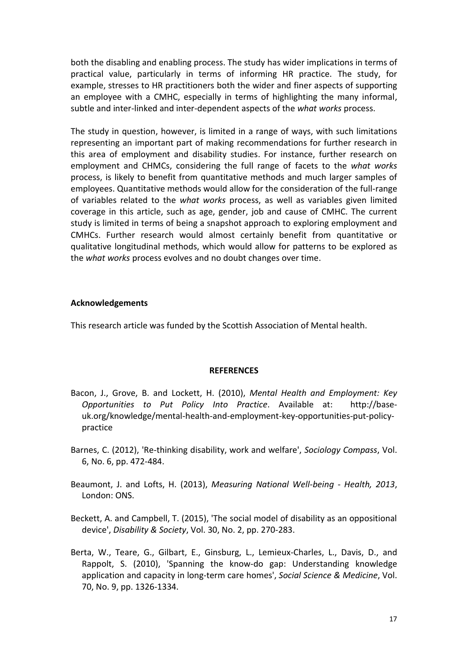both the disabling and enabling process. The study has wider implications in terms of practical value, particularly in terms of informing HR practice. The study, for example, stresses to HR practitioners both the wider and finer aspects of supporting an employee with a CMHC, especially in terms of highlighting the many informal, subtle and inter-linked and inter-dependent aspects of the *what works* process.

The study in question, however, is limited in a range of ways, with such limitations representing an important part of making recommendations for further research in this area of employment and disability studies. For instance, further research on employment and CHMCs, considering the full range of facets to the *what works* process, is likely to benefit from quantitative methods and much larger samples of employees. Quantitative methods would allow for the consideration of the full-range of variables related to the *what works* process, as well as variables given limited coverage in this article, such as age, gender, job and cause of CMHC. The current study is limited in terms of being a snapshot approach to exploring employment and CMHCs. Further research would almost certainly benefit from quantitative or qualitative longitudinal methods, which would allow for patterns to be explored as the *what works* process evolves and no doubt changes over time.

### **Acknowledgements**

This research article was funded by the Scottish Association of Mental health.

#### **REFERENCES**

- Bacon, J., Grove, B. and Lockett, H. (2010), *Mental Health and Employment: Key Opportunities to Put Policy Into Practice*. Available at: http://baseuk.org/knowledge/mental-health-and-employment-key-opportunities-put-policypractice
- Barnes, C. (2012), 'Re-thinking disability, work and welfare', *Sociology Compass*, Vol. 6, No. 6, pp. 472-484.
- Beaumont, J. and Lofts, H. (2013), *Measuring National Well-being - Health, 2013*, London: ONS.
- Beckett, A. and Campbell, T. (2015), 'The social model of disability as an oppositional device', *Disability & Society*, Vol. 30, No. 2, pp. 270-283.
- Berta, W., Teare, G., Gilbart, E., Ginsburg, L., Lemieux-Charles, L., Davis, D., and Rappolt, S. (2010), 'Spanning the know-do gap: Understanding knowledge application and capacity in long-term care homes', *Social Science & Medicine*, Vol. 70, No. 9, pp. 1326-1334.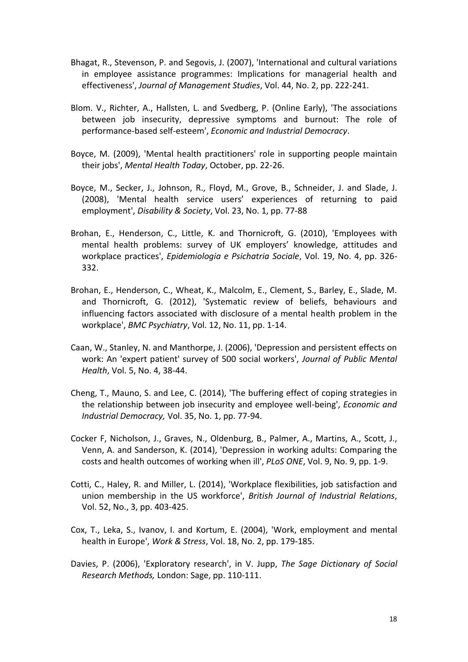- Bhagat, R., Stevenson, P. and Segovis, J. (2007), 'International and cultural variations in employee assistance programmes: Implications for managerial health and effectiveness', *Journal of Management Studies*, Vol. 44, No. 2, pp. 222-241.
- Blom. V., Richter, A., Hallsten, L. and Svedberg, P. (Online Early), 'The associations between job insecurity, depressive symptoms and burnout: The role of performance-based self-esteem', *Economic and Industrial Democracy*.
- Boyce, M. (2009), 'Mental health practitioners' role in supporting people maintain their jobs', *Mental Health Today*, October, pp. 22-26.
- Boyce, M., Secker, J., Johnson, R., Floyd, M., Grove, B., Schneider, J. and Slade, J. (2008), 'Mental health service users' experiences of returning to paid employment', *Disability & Society*, Vol. 23, No. 1, pp. 77-88
- Brohan, E., Henderson, C., Little, K. and Thornicroft, G. (2010), 'Employees with mental health problems: survey of UK employers' knowledge, attitudes and workplace practices', *Epidemiologia e Psichatria Sociale*, Vol. 19, No. 4, pp. 326- 332.
- Brohan, E., Henderson, C., Wheat, K., Malcolm, E., Clement, S., Barley, E., Slade, M. and Thornicroft, G. (2012), 'Systematic review of beliefs, behaviours and influencing factors associated with disclosure of a mental health problem in the workplace', *BMC Psychiatry*, Vol. 12, No. 11, pp. 1-14.
- Caan, W., Stanley, N. and Manthorpe, J. (2006), 'Depression and persistent effects on work: An 'expert patient' survey of 500 social workers', *Journal of Public Mental Health*, Vol. 5, No. 4, 38-44.
- Cheng, T., Mauno, S. and Lee, C. (2014), 'The buffering effect of coping strategies in the relationship between job insecurity and employee well-being', *Economic and Industrial Democracy,* Vol. 35, No. 1, pp. 77-94.
- Cocker F, Nicholson, J., Graves, N., Oldenburg, B., Palmer, A., Martins, A., Scott, J., Venn, A. and Sanderson, K. (2014), 'Depression in working adults: Comparing the costs and health outcomes of working when ill', *PLoS ONE*, Vol. 9, No. 9, pp. 1-9.
- Cotti, C., Haley, R. and Miller, L. (2014), 'Workplace flexibilities, job satisfaction and union membership in the US workforce', *British Journal of Industrial Relations*, Vol. 52, No., 3, pp. 403-425.
- Cox, T., Leka, S., Ivanov, I. and Kortum, E. (2004), 'Work, employment and mental health in Europe', *Work & Stress*, Vol. 18, No. 2, pp. 179-185.
- Davies, P. (2006), 'Exploratory research', in V. Jupp, *The Sage Dictionary of Social Research Methods,* London: Sage, pp. 110-111.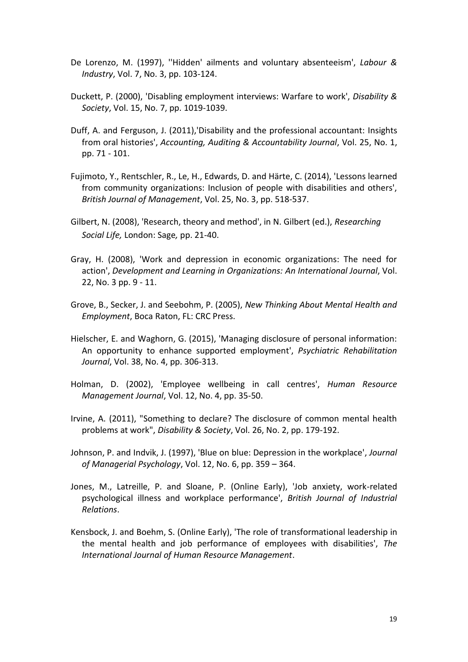- De Lorenzo, M. (1997), ''Hidden' ailments and voluntary absenteeism', *Labour & Industry*, Vol. 7, No. 3, pp. 103-124.
- Duckett, P. (2000), 'Disabling employment interviews: Warfare to work', *Disability & Society*, Vol. 15, No. 7, pp. 1019-1039.
- Duff, A. and Ferguson, J. (2011),'Disability and the professional accountant: Insights from oral histories', *Accounting, Auditing & Accountability Journal*, Vol. 25, No. 1, pp. 71 - 101.
- Fujimoto, Y., Rentschler, R., Le, H., Edwards, D. and Härte, C. (2014), 'Lessons learned from community organizations: Inclusion of people with disabilities and others', *British Journal of Management*, Vol. 25, No. 3, pp. 518-537.
- Gilbert, N. (2008), 'Research, theory and method', in N. Gilbert (ed.), *Researching Social Life,* London: Sage*,* pp. 21-40.
- Gray, H. (2008), 'Work and depression in economic organizations: The need for action', *Development and Learning in Organizations: An International Journal*, Vol. 22, No. 3 pp. 9 - 11.
- Grove, B., Secker, J. and Seebohm, P. (2005), *New Thinking About Mental Health and Employment*, Boca Raton, FL: CRC Press.
- Hielscher, E. and Waghorn, G. (2015), 'Managing disclosure of personal information: An opportunity to enhance supported employment', *Psychiatric Rehabilitation Journal*, Vol. 38, No. 4, pp. 306-313.
- Holman, D. (2002), 'Employee wellbeing in call centres', *Human Resource Management Journal*, Vol. 12, No. 4, pp. 35-50.
- Irvine, A. (2011), "Something to declare? The disclosure of common mental health problems at work", *Disability & Society*, Vol. 26, No. 2, pp. 179-192.
- Johnson, P. and Indvik, J. (1997), 'Blue on blue: Depression in the workplace', *Journal of Managerial Psychology*, Vol. 12, No. 6, pp. 359 – 364.
- Jones, M., Latreille, P. and Sloane, P. (Online Early), 'Job anxiety, work-related psychological illness and workplace performance', *British Journal of Industrial Relations*.
- Kensbock, J. and Boehm, S. (Online Early), 'The role of transformational leadership in the mental health and job performance of employees with disabilities', *The International Journal of Human Resource Management*.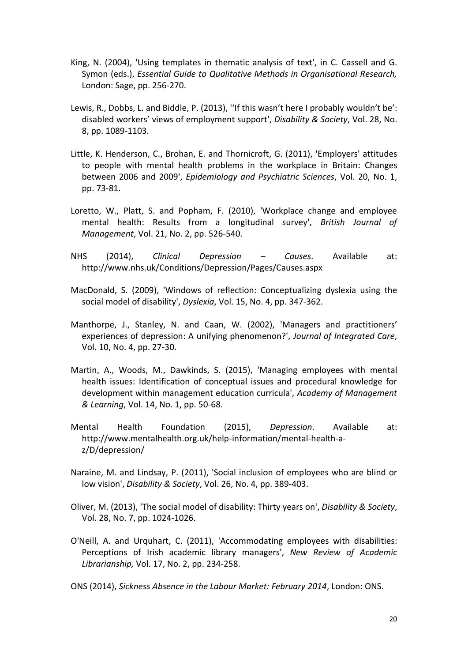- King, N. (2004), 'Using templates in thematic analysis of text', in C. Cassell and G. Symon (eds.), *Essential Guide to Qualitative Methods in Organisational Research,* London: Sage, pp. 256-270.
- Lewis, R., Dobbs, L. and Biddle, P. (2013), ''If this wasn't here I probably wouldn't be': disabled workers' views of employment support', *Disability & Society*, Vol. 28, No. 8, pp. 1089-1103.
- Little, K. Henderson, C., Brohan, E. and Thornicroft, G. (2011), 'Employers' attitudes to people with mental health problems in the workplace in Britain: Changes between 2006 and 2009', *Epidemiology and Psychiatric Sciences*, Vol. 20, No. 1, pp. 73-81.
- Loretto, W., Platt, S. and Popham, F. (2010), 'Workplace change and employee mental health: Results from a longitudinal survey', *British Journal of Management*, Vol. 21, No. 2, pp. 526-540.
- NHS (2014), *Clinical Depression – Causes*. Available at: http://www.nhs.uk/Conditions/Depression/Pages/Causes.aspx
- MacDonald, S. (2009), 'Windows of reflection: Conceptualizing dyslexia using the social model of disability', *Dyslexia*, Vol. 15, No. 4, pp. 347-362.
- Manthorpe, J., Stanley, N. and Caan, W. (2002), 'Managers and practitioners' experiences of depression: A unifying phenomenon?', *Journal of Integrated Care*, Vol. 10, No. 4, pp. 27-30.
- Martin, A., Woods, M., Dawkinds, S. (2015), 'Managing employees with mental health issues: Identification of conceptual issues and procedural knowledge for development within management education curricula', *Academy of Management & Learning*, Vol. 14, No. 1, pp. 50-68.
- Mental Health Foundation (2015), *Depression*. Available at: http://www.mentalhealth.org.uk/help-information/mental-health-az/D/depression/
- Naraine, M. and Lindsay, P. (2011), 'Social inclusion of employees who are blind or low vision', *Disability & Society*, Vol. 26, No. 4, pp. 389-403.
- Oliver, M. (2013), 'The social model of disability: Thirty years on', *Disability & Society*, Vol. 28, No. 7, pp. 1024-1026.
- O'Neill, A. and Urquhart, C. (2011), 'Accommodating employees with disabilities: Perceptions of Irish academic library managers', *New Review of Academic Librarianship,* Vol. 17, No. 2, pp. 234-258.
- ONS (2014), *Sickness Absence in the Labour Market: February 2014*, London: ONS.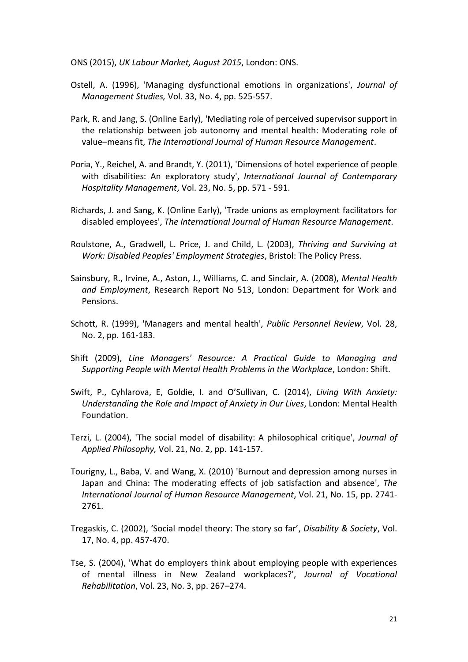ONS (2015), *UK Labour Market, August 2015*, London: ONS.

- Ostell, A. (1996), 'Managing dysfunctional emotions in organizations', *Journal of Management Studies,* Vol. 33, No. 4, pp. 525-557.
- Park, R. and Jang, S. (Online Early), 'Mediating role of perceived supervisor support in the relationship between job autonomy and mental health: Moderating role of value–means fit, *The International Journal of Human Resource Management*.
- Poria, Y., Reichel, A. and Brandt, Y. (2011), 'Dimensions of hotel experience of people with disabilities: An exploratory study', *International Journal of Contemporary Hospitality Management*, Vol. 23, No. 5, pp. 571 - 591.
- Richards, J. and Sang, K. (Online Early), 'Trade unions as employment facilitators for disabled employees', *The International Journal of Human Resource Management*.
- Roulstone, A., Gradwell, L. Price, J. and Child, L. (2003), *Thriving and Surviving at Work: Disabled Peoples' Employment Strategies*, Bristol: The Policy Press.
- Sainsbury, R., Irvine, A., Aston, J., Williams, C. and Sinclair, A. (2008), *Mental Health and Employment*, Research Report No 513, London: Department for Work and Pensions.
- Schott, R. (1999), 'Managers and mental health', *Public Personnel Review*, Vol. 28, No. 2, pp. 161-183.
- Shift (2009), *Line Managers' Resource: A Practical Guide to Managing and Supporting People with Mental Health Problems in the Workplace*, London: Shift.
- Swift, P., Cyhlarova, E, Goldie, I. and O'Sullivan, C. (2014), *Living With Anxiety: Understanding the Role and Impact of Anxiety in Our Lives*, London: Mental Health Foundation.
- Terzi, L. (2004), 'The social model of disability: A philosophical critique', *Journal of Applied Philosophy,* Vol. 21, No. 2, pp. 141-157.
- Tourigny, L., Baba, V. and Wang, X. (2010) 'Burnout and depression among nurses in Japan and China: The moderating effects of job satisfaction and absence', *The International Journal of Human Resource Management*, Vol. 21, No. 15, pp. 2741- 2761.
- Tregaskis, C. (2002), 'Social model theory: The story so far', *Disability & Society*, Vol. 17, No. 4, pp. 457-470.
- Tse, S. (2004), 'What do employers think about employing people with experiences of mental illness in New Zealand workplaces?', *Journal of Vocational Rehabilitation*, Vol. 23, No. 3, pp. 267–274.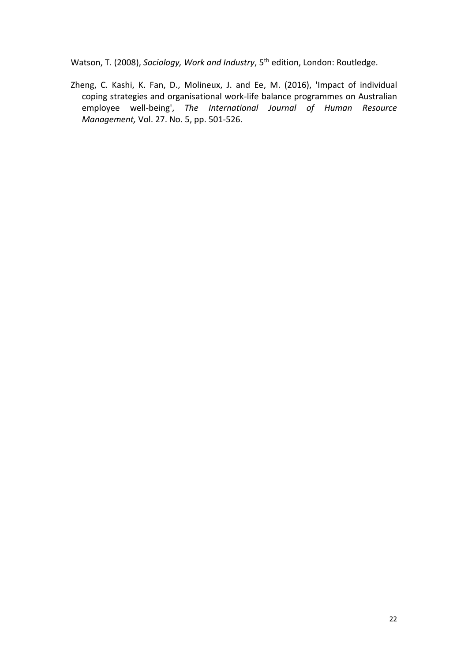Watson, T. (2008), *Sociology, Work and Industry*, 5<sup>th</sup> edition, London: Routledge.

Zheng, C. Kashi, K. Fan, D., Molineux, J. and Ee, M. (2016), 'Impact of individual coping strategies and organisational work-life balance programmes on Australian employee well-being', *The International Journal of Human Resource Management,* Vol. 27. No. 5, pp. 501-526.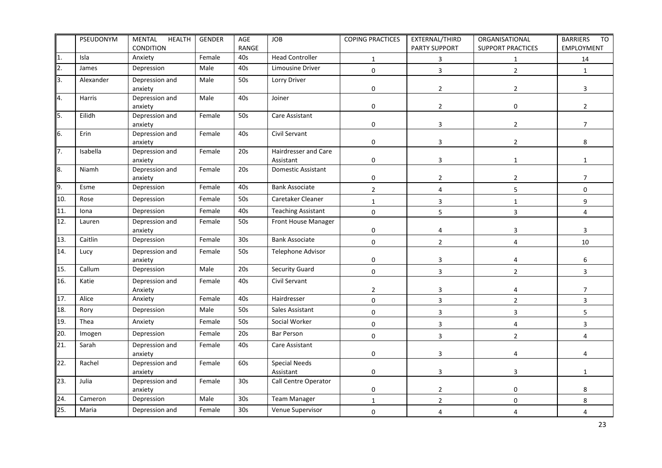|     | PSEUDONYM | <b>MENTAL</b><br><b>HEALTH</b><br>CONDITION | <b>GENDER</b> | AGE<br>RANGE    | <b>JOB</b>                        | <b>COPING PRACTICES</b> | EXTERNAL/THIRD<br>PARTY SUPPORT | ORGANISATIONAL<br><b>SUPPORT PRACTICES</b> | <b>BARRIERS</b><br>TO<br>EMPLOYMENT |
|-----|-----------|---------------------------------------------|---------------|-----------------|-----------------------------------|-------------------------|---------------------------------|--------------------------------------------|-------------------------------------|
| 1.  | Isla      | Anxiety                                     | Female        | 40s             | <b>Head Controller</b>            | $\mathbf{1}$            | 3                               | $\mathbf{1}$                               | 14                                  |
| 2.  | James     | Depression                                  | Male          | 40s             | Limousine Driver                  | $\pmb{0}$               | 3                               | $\overline{2}$                             | $\mathbf{1}$                        |
| 3.  | Alexander | Depression and<br>anxiety                   | Male          | 50s             | Lorry Driver                      | $\pmb{0}$               | $\overline{2}$                  | $\overline{2}$                             | $\mathbf{3}$                        |
| 4.  | Harris    | Depression and<br>anxiety                   | Male          | 40s             | Joiner                            | $\pmb{0}$               | $\overline{2}$                  | $\pmb{0}$                                  | $\overline{2}$                      |
| 5.  | Eilidh    | Depression and<br>anxiety                   | Female        | 50s             | Care Assistant                    | $\mathbf 0$             | 3                               | $\overline{2}$                             | $7^{\circ}$                         |
| 6.  | Erin      | Depression and<br>anxiety                   | Female        | 40s             | Civil Servant                     | $\mathbf 0$             | 3                               | $\overline{2}$                             | 8                                   |
| 7.  | Isabella  | Depression and<br>anxiety                   | Female        | 20s             | Hairdresser and Care<br>Assistant | $\mathbf 0$             | 3                               | $\mathbf{1}$                               | $\mathbf{1}$                        |
| 8.  | Niamh     | Depression and<br>anxiety                   | Female        | 20s             | Domestic Assistant                | $\pmb{0}$               | $\overline{2}$                  | $\overline{2}$                             | $\overline{7}$                      |
| 9.  | Esme      | Depression                                  | Female        | 40s             | <b>Bank Associate</b>             | $\overline{2}$          | 4                               | 5                                          | $\pmb{0}$                           |
| 10. | Rose      | Depression                                  | Female        | 50s             | Caretaker Cleaner                 | $\mathbf 1$             | 3                               | $\mathbf 1$                                | 9                                   |
| 11. | Iona      | Depression                                  | Female        | 40s             | <b>Teaching Assistant</b>         | $\pmb{0}$               | 5                               | $\overline{3}$                             | $\overline{4}$                      |
| 12. | Lauren    | Depression and<br>anxiety                   | Female        | 50s             | Front House Manager               | $\pmb{0}$               | 4                               | 3                                          | 3                                   |
| 13. | Caitlin   | Depression                                  | Female        | 30 <sub>s</sub> | <b>Bank Associate</b>             | $\pmb{0}$               | $\overline{2}$                  | $\overline{4}$                             | 10                                  |
| 14. | Lucy      | Depression and<br>anxiety                   | Female        | 50s             | Telephone Advisor                 | $\pmb{0}$               | 3                               | 4                                          | 6                                   |
| 15. | Callum    | Depression                                  | Male          | 20s             | <b>Security Guard</b>             | $\pmb{0}$               | 3                               | $\overline{2}$                             | $\overline{3}$                      |
| 16. | Katie     | Depression and<br>Anxiety                   | Female        | 40s             | Civil Servant                     | $\overline{2}$          | 3                               | 4                                          | $\overline{7}$                      |
| 17. | Alice     | Anxiety                                     | Female        | 40s             | Hairdresser                       | $\pmb{0}$               | 3                               | $\overline{2}$                             | $\overline{3}$                      |
| 18. | Rory      | Depression                                  | Male          | 50s             | Sales Assistant                   | $\pmb{0}$               | 3                               | 3                                          | 5                                   |
| 19. | Thea      | Anxiety                                     | Female        | 50s             | Social Worker                     | $\pmb{0}$               | 3                               | 4                                          | $\overline{3}$                      |
| 20. | Imogen    | Depression                                  | Female        | 20s             | <b>Bar Person</b>                 | $\pmb{0}$               | 3                               | $\overline{2}$                             | $\overline{4}$                      |
| 21. | Sarah     | Depression and<br>anxiety                   | Female        | 40s             | Care Assistant                    | $\pmb{0}$               | 3                               | 4                                          | 4                                   |
| 22. | Rachel    | Depression and<br>anxiety                   | Female        | 60s             | <b>Special Needs</b><br>Assistant | $\pmb{0}$               | 3                               | 3                                          | $\mathbf{1}$                        |
| 23. | Julia     | Depression and<br>anxiety                   | Female        | 30 <sub>s</sub> | Call Centre Operator              | $\pmb{0}$               | 2                               | $\mathbf 0$                                | 8                                   |
| 24. | Cameron   | Depression                                  | Male          | 30 <sub>s</sub> | <b>Team Manager</b>               | $\mathbf{1}$            | $\overline{2}$                  | $\boldsymbol{0}$                           | 8                                   |
| 25. | Maria     | Depression and                              | Female        | 30 <sub>s</sub> | Venue Supervisor                  | $\mathbf 0$             | 4                               | 4                                          | 4                                   |